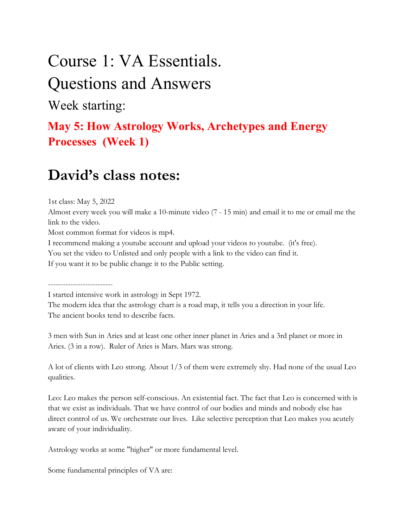# Course 1: VA Essentials.

### Questions and Answers

Week starting:

#### May 5: How Astrology Works, Archetypes and Energy Processes (Week 1)

### David's class notes:

1st class: May 5, 2022

Almost every week you will make a 10-minute video (7 - 15 min) and email it to me or email me the link to the video.

Most common format for videos is mp4.

I recommend making a youtube account and upload your videos to youtube. (it's free).

You set the video to Unlisted and only people with a link to the video can find it.

If you want it to be public change it to the Public setting.

--------------------------

I started intensive work in astrology in Sept 1972.

The modern idea that the astrology chart is a road map, it tells you a direction in your life. The ancient books tend to describe facts.

3 men with Sun in Aries and at least one other inner planet in Aries and a 3rd planet or more in Aries. (3 in a row). Ruler of Aries is Mars. Mars was strong.

A lot of clients with Leo strong. About 1/3 of them were extremely shy. Had none of the usual Leo qualities.

Leo: Leo makes the person self-conscious. An existential fact. The fact that Leo is concerned with is that we exist as individuals. That we have control of our bodies and minds and nobody else has direct control of us. We orchestrate our lives. Like selective perception that Leo makes you acutely aware of your individuality.

Astrology works at some "higher" or more fundamental level.

Some fundamental principles of VA are: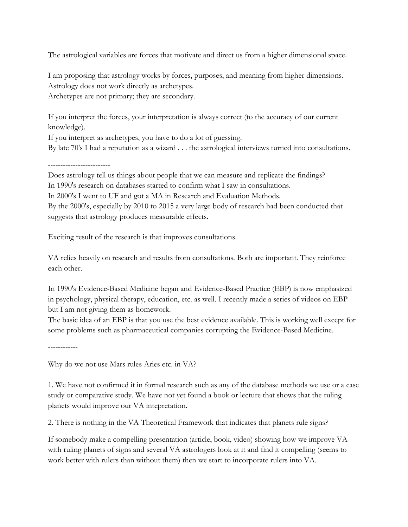The astrological variables are forces that motivate and direct us from a higher dimensional space.

I am proposing that astrology works by forces, purposes, and meaning from higher dimensions. Astrology does not work directly as archetypes. Archetypes are not primary; they are secondary.

If you interpret the forces, your interpretation is always correct (to the accuracy of our current knowledge).

If you interpret as archetypes, you have to do a lot of guessing. By late 70's I had a reputation as a wizard . . . the astrological interviews turned into consultations.

-------------------------

Does astrology tell us things about people that we can measure and replicate the findings? In 1990's research on databases started to confirm what I saw in consultations. In 2000's I went to UF and got a MA in Research and Evaluation Methods. By the 2000's, especially by 2010 to 2015 a very large body of research had been conducted that suggests that astrology produces measurable effects.

Exciting result of the research is that improves consultations.

VA relies heavily on research and results from consultations. Both are important. They reinforce each other.

In 1990's Evidence-Based Medicine began and Evidence-Based Practice (EBP) is now emphasized in psychology, physical therapy, education, etc. as well. I recently made a series of videos on EBP but I am not giving them as homework.

The basic idea of an EBP is that you use the best evidence available. This is working well except for some problems such as pharmaceutical companies corrupting the Evidence-Based Medicine.

------------

Why do we not use Mars rules Aries etc. in VA?

1. We have not confirmed it in formal research such as any of the database methods we use or a case study or comparative study. We have not yet found a book or lecture that shows that the ruling planets would improve our VA intepretation.

2. There is nothing in the VA Theoretical Framework that indicates that planets rule signs?

If somebody make a compelling presentation (article, book, video) showing how we improve VA with ruling planets of signs and several VA astrologers look at it and find it compelling (seems to work better with rulers than without them) then we start to incorporate rulers into VA.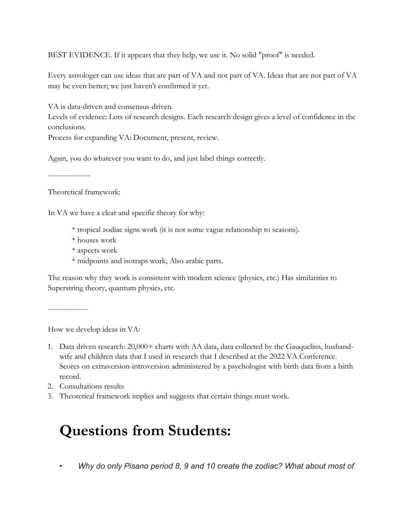BEST EVIDENCE. If it appears that they help, we use it. No solid "proof" is needed.

Every astrologer can use ideas that are part of VA and not part of VA. Ideas that are not part of VA may be even better; we just haven't confirmed it yet.

VA is data-driven and consensus-driven.

Levels of evidence: Lots of research designs. Each research design gives a level of confidence in the conclusions.

Process for expanding VA: Document, present, review.

Again, you do whatever you want to do, and just label things correctly.

-----------------

Theoretical framework:

In VA we have a clear and specific theory for why:

- \* tropical zodiac signs work (it is not some vague relationship to seasons).
- \* houses work
- \* aspects work
- \* midpoints and isotraps work, Also arabic parts.

The reason why they work is consistent with modern science (physics, etc.) Has similarities to Superstring theory, quantum physics, etc.

----------------

How we develop ideas in VA:

- 1. Data driven research: 20,000+ charts with AA data, data collected by the Gauquelins, husbandwife and children data that I used in research that I described at the 2022 VA Conference. Scores on extraversion-introversion administered by a psychologist with birth data from a birth record.
- 2. Consultations results
- 3. Theoretical framework implies and suggests that certain things must work.

## Questions from Students:

Why do only Pisano period 8, 9 and 10 create the zodiac? What about most of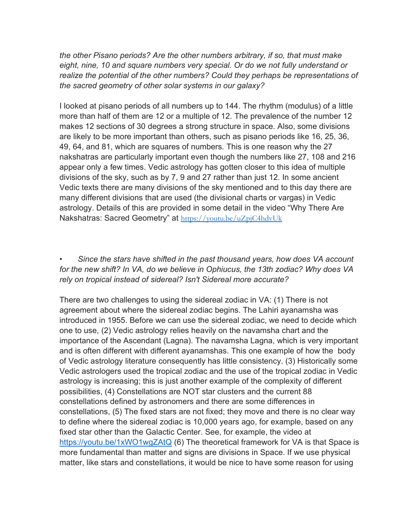the other Pisano periods? Are the other numbers arbitrary, if so, that must make eight, nine, 10 and square numbers very special. Or do we not fully understand or realize the potential of the other numbers? Could they perhaps be representations of the sacred geometry of other solar systems in our galaxy?

I looked at pisano periods of all numbers up to 144. The rhythm (modulus) of a little more than half of them are 12 or a multiple of 12. The prevalence of the number 12 makes 12 sections of 30 degrees a strong structure in space. Also, some divisions are likely to be more important than others, such as pisano periods like 16, 25, 36, 49, 64, and 81, which are squares of numbers. This is one reason why the 27 nakshatras are particularly important even though the numbers like 27, 108 and 216 appear only a few times. Vedic astrology has gotten closer to this idea of multiple divisions of the sky, such as by 7, 9 and 27 rather than just 12. In some ancient Vedic texts there are many divisions of the sky mentioned and to this day there are many different divisions that are used (the divisional charts or vargas) in Vedic astrology. Details of this are provided in some detail in the video "Why There Are Nakshatras: Sacred Geometry" at https://youtu.be/uZpjC4hdvUk

• Since the stars have shifted in the past thousand years, how does VA account for the new shift? In VA, do we believe in Ophiucus, the 13th zodiac? Why does VA rely on tropical instead of sidereal? Isn't Sidereal more accurate?

There are two challenges to using the sidereal zodiac in VA: (1) There is not agreement about where the sidereal zodiac begins. The Lahiri ayanamsha was introduced in 1955. Before we can use the sidereal zodiac, we need to decide which one to use, (2) Vedic astrology relies heavily on the navamsha chart and the importance of the Ascendant (Lagna). The navamsha Lagna, which is very important and is often different with different ayanamshas. This one example of how the body of Vedic astrology literature consequently has little consistency. (3) Historically some Vedic astrologers used the tropical zodiac and the use of the tropical zodiac in Vedic astrology is increasing; this is just another example of the complexity of different possibilities, (4) Constellations are NOT star clusters and the current 88 constellations defined by astronomers and there are some differences in constellations, (5) The fixed stars are not fixed; they move and there is no clear way to define where the sidereal zodiac is 10,000 years ago, for example, based on any fixed star other than the Galactic Center. See, for example, the video at https://youtu.be/1xWO1wgZAtQ (6) The theoretical framework for VA is that Space is more fundamental than matter and signs are divisions in Space. If we use physical matter, like stars and constellations, it would be nice to have some reason for using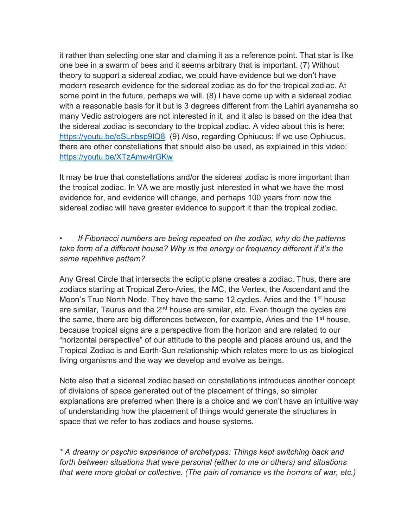it rather than selecting one star and claiming it as a reference point. That star is like one bee in a swarm of bees and it seems arbitrary that is important. (7) Without theory to support a sidereal zodiac, we could have evidence but we don't have modern research evidence for the sidereal zodiac as do for the tropical zodiac. At some point in the future, perhaps we will. (8) I have come up with a sidereal zodiac with a reasonable basis for it but is 3 degrees different from the Lahiri ayanamsha so many Vedic astrologers are not interested in it, and it also is based on the idea that the sidereal zodiac is secondary to the tropical zodiac. A video about this is here: https://youtu.be/eSLnbsp9IQ8 (9) Also, regarding Ophiucus: If we use Ophiucus, there are other constellations that should also be used, as explained in this video: https://youtu.be/XTzAmw4rGKw

It may be true that constellations and/or the sidereal zodiac is more important than the tropical zodiac. In VA we are mostly just interested in what we have the most evidence for, and evidence will change, and perhaps 100 years from now the sidereal zodiac will have greater evidence to support it than the tropical zodiac.

• If Fibonacci numbers are being repeated on the zodiac, why do the patterns take form of a different house? Why is the energy or frequency different if it's the same repetitive pattern?

Any Great Circle that intersects the ecliptic plane creates a zodiac. Thus, there are zodiacs starting at Tropical Zero-Aries, the MC, the Vertex, the Ascendant and the Moon's True North Node. They have the same 12 cycles. Aries and the 1<sup>st</sup> house are similar, Taurus and the  $2<sup>nd</sup>$  house are similar, etc. Even though the cycles are the same, there are big differences between, for example, Aries and the 1<sup>st</sup> house, because tropical signs are a perspective from the horizon and are related to our "horizontal perspective" of our attitude to the people and places around us, and the Tropical Zodiac is and Earth-Sun relationship which relates more to us as biological living organisms and the way we develop and evolve as beings.

Note also that a sidereal zodiac based on constellations introduces another concept of divisions of space generated out of the placement of things, so simpler explanations are preferred when there is a choice and we don't have an intuitive way of understanding how the placement of things would generate the structures in space that we refer to has zodiacs and house systems.

\* A dreamy or psychic experience of archetypes: Things kept switching back and forth between situations that were personal (either to me or others) and situations that were more global or collective. (The pain of romance vs the horrors of war, etc.)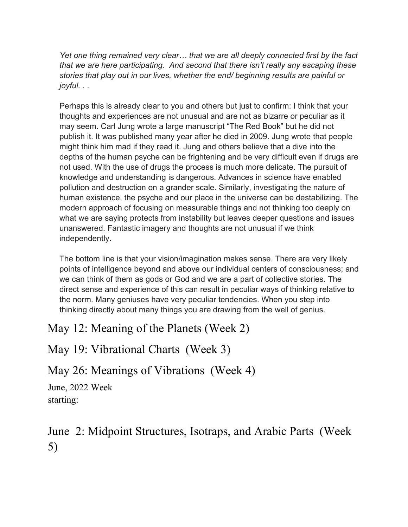Yet one thing remained very clear… that we are all deeply connected first by the fact that we are here participating. And second that there isn't really any escaping these stories that play out in our lives, whether the end/ beginning results are painful or joyful. . .

Perhaps this is already clear to you and others but just to confirm: I think that your thoughts and experiences are not unusual and are not as bizarre or peculiar as it may seem. Carl Jung wrote a large manuscript "The Red Book" but he did not publish it. It was published many year after he died in 2009. Jung wrote that people might think him mad if they read it. Jung and others believe that a dive into the depths of the human psyche can be frightening and be very difficult even if drugs are not used. With the use of drugs the process is much more delicate. The pursuit of knowledge and understanding is dangerous. Advances in science have enabled pollution and destruction on a grander scale. Similarly, investigating the nature of human existence, the psyche and our place in the universe can be destabilizing. The modern approach of focusing on measurable things and not thinking too deeply on what we are saying protects from instability but leaves deeper questions and issues unanswered. Fantastic imagery and thoughts are not unusual if we think independently.

The bottom line is that your vision/imagination makes sense. There are very likely points of intelligence beyond and above our individual centers of consciousness; and we can think of them as gods or God and we are a part of collective stories. The direct sense and experience of this can result in peculiar ways of thinking relative to the norm. Many geniuses have very peculiar tendencies. When you step into thinking directly about many things you are drawing from the well of genius.

May 12: Meaning of the Planets (Week 2)

May 19: Vibrational Charts (Week 3)

May 26: Meanings of Vibrations (Week 4)

June, 2022 Week starting:

June 2: Midpoint Structures, Isotraps, and Arabic Parts (Week 5)